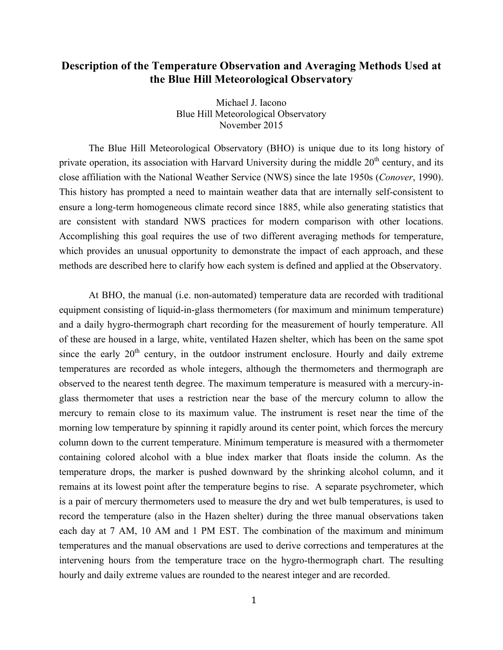## **Description of the Temperature Observation and Averaging Methods Used at the Blue Hill Meteorological Observatory**

Michael J. Iacono Blue Hill Meteorological Observatory November 2015

The Blue Hill Meteorological Observatory (BHO) is unique due to its long history of private operation, its association with Harvard University during the middle  $20<sup>th</sup>$  century, and its close affiliation with the National Weather Service (NWS) since the late 1950s (*Conover*, 1990). This history has prompted a need to maintain weather data that are internally self-consistent to ensure a long-term homogeneous climate record since 1885, while also generating statistics that are consistent with standard NWS practices for modern comparison with other locations. Accomplishing this goal requires the use of two different averaging methods for temperature, which provides an unusual opportunity to demonstrate the impact of each approach, and these methods are described here to clarify how each system is defined and applied at the Observatory.

At BHO, the manual (i.e. non-automated) temperature data are recorded with traditional equipment consisting of liquid-in-glass thermometers (for maximum and minimum temperature) and a daily hygro-thermograph chart recording for the measurement of hourly temperature. All of these are housed in a large, white, ventilated Hazen shelter, which has been on the same spot since the early  $20<sup>th</sup>$  century, in the outdoor instrument enclosure. Hourly and daily extreme temperatures are recorded as whole integers, although the thermometers and thermograph are observed to the nearest tenth degree. The maximum temperature is measured with a mercury-inglass thermometer that uses a restriction near the base of the mercury column to allow the mercury to remain close to its maximum value. The instrument is reset near the time of the morning low temperature by spinning it rapidly around its center point, which forces the mercury column down to the current temperature. Minimum temperature is measured with a thermometer containing colored alcohol with a blue index marker that floats inside the column. As the temperature drops, the marker is pushed downward by the shrinking alcohol column, and it remains at its lowest point after the temperature begins to rise. A separate psychrometer, which is a pair of mercury thermometers used to measure the dry and wet bulb temperatures, is used to record the temperature (also in the Hazen shelter) during the three manual observations taken each day at 7 AM, 10 AM and 1 PM EST. The combination of the maximum and minimum temperatures and the manual observations are used to derive corrections and temperatures at the intervening hours from the temperature trace on the hygro-thermograph chart. The resulting hourly and daily extreme values are rounded to the nearest integer and are recorded.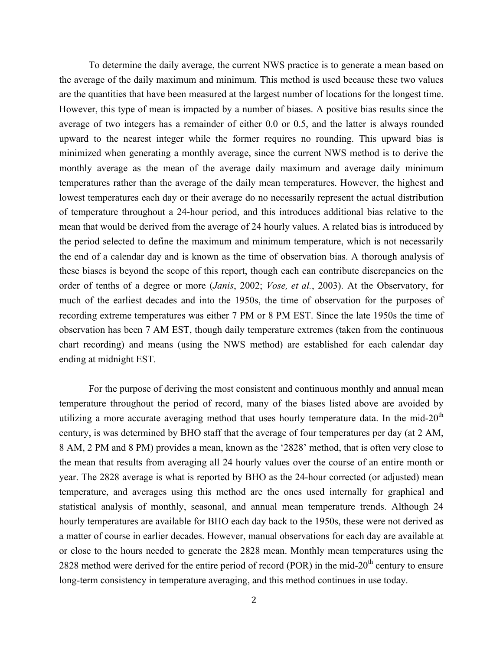To determine the daily average, the current NWS practice is to generate a mean based on the average of the daily maximum and minimum. This method is used because these two values are the quantities that have been measured at the largest number of locations for the longest time. However, this type of mean is impacted by a number of biases. A positive bias results since the average of two integers has a remainder of either 0.0 or 0.5, and the latter is always rounded upward to the nearest integer while the former requires no rounding. This upward bias is minimized when generating a monthly average, since the current NWS method is to derive the monthly average as the mean of the average daily maximum and average daily minimum temperatures rather than the average of the daily mean temperatures. However, the highest and lowest temperatures each day or their average do no necessarily represent the actual distribution of temperature throughout a 24-hour period, and this introduces additional bias relative to the mean that would be derived from the average of 24 hourly values. A related bias is introduced by the period selected to define the maximum and minimum temperature, which is not necessarily the end of a calendar day and is known as the time of observation bias. A thorough analysis of these biases is beyond the scope of this report, though each can contribute discrepancies on the order of tenths of a degree or more (*Janis*, 2002; *Vose, et al.*, 2003). At the Observatory, for much of the earliest decades and into the 1950s, the time of observation for the purposes of recording extreme temperatures was either 7 PM or 8 PM EST. Since the late 1950s the time of observation has been 7 AM EST, though daily temperature extremes (taken from the continuous chart recording) and means (using the NWS method) are established for each calendar day ending at midnight EST.

For the purpose of deriving the most consistent and continuous monthly and annual mean temperature throughout the period of record, many of the biases listed above are avoided by utilizing a more accurate averaging method that uses hourly temperature data. In the mid- $20<sup>th</sup>$ century, is was determined by BHO staff that the average of four temperatures per day (at 2 AM, 8 AM, 2 PM and 8 PM) provides a mean, known as the '2828' method, that is often very close to the mean that results from averaging all 24 hourly values over the course of an entire month or year. The 2828 average is what is reported by BHO as the 24-hour corrected (or adjusted) mean temperature, and averages using this method are the ones used internally for graphical and statistical analysis of monthly, seasonal, and annual mean temperature trends. Although 24 hourly temperatures are available for BHO each day back to the 1950s, these were not derived as a matter of course in earlier decades. However, manual observations for each day are available at or close to the hours needed to generate the 2828 mean. Monthly mean temperatures using the 2828 method were derived for the entire period of record (POR) in the mid- $20<sup>th</sup>$  century to ensure long-term consistency in temperature averaging, and this method continues in use today.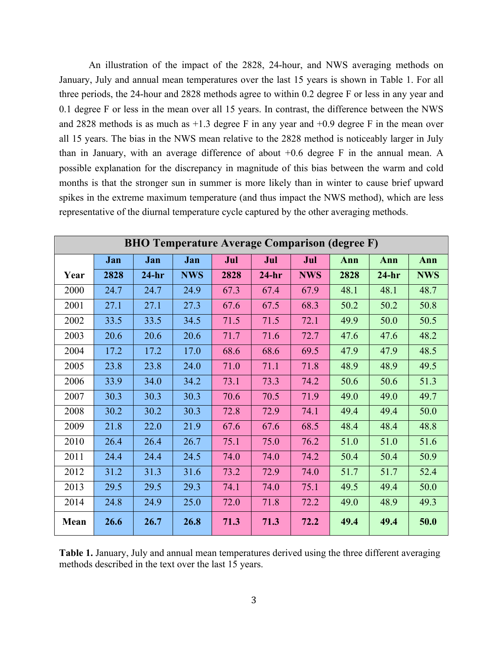An illustration of the impact of the 2828, 24-hour, and NWS averaging methods on January, July and annual mean temperatures over the last 15 years is shown in Table 1. For all three periods, the 24-hour and 2828 methods agree to within 0.2 degree F or less in any year and 0.1 degree F or less in the mean over all 15 years. In contrast, the difference between the NWS and 2828 methods is as much as +1.3 degree F in any year and +0.9 degree F in the mean over all 15 years. The bias in the NWS mean relative to the 2828 method is noticeably larger in July than in January, with an average difference of about +0.6 degree F in the annual mean. A possible explanation for the discrepancy in magnitude of this bias between the warm and cold months is that the stronger sun in summer is more likely than in winter to cause brief upward spikes in the extreme maximum temperature (and thus impact the NWS method), which are less representative of the diurnal temperature cycle captured by the other averaging methods.

| <b>BHO Temperature Average Comparison (degree F)</b> |      |         |            |      |         |            |      |         |            |  |  |  |
|------------------------------------------------------|------|---------|------------|------|---------|------------|------|---------|------------|--|--|--|
|                                                      | Jan  | Jan     | Jan        | Jul  | Jul     | Jul        | Ann  | Ann     | Ann        |  |  |  |
| Year                                                 | 2828 | $24-hr$ | <b>NWS</b> | 2828 | $24-hr$ | <b>NWS</b> | 2828 | $24-hr$ | <b>NWS</b> |  |  |  |
| 2000                                                 | 24.7 | 24.7    | 24.9       | 67.3 | 67.4    | 67.9       | 48.1 | 48.1    | 48.7       |  |  |  |
| 2001                                                 | 27.1 | 27.1    | 27.3       | 67.6 | 67.5    | 68.3       | 50.2 | 50.2    | 50.8       |  |  |  |
| 2002                                                 | 33.5 | 33.5    | 34.5       | 71.5 | 71.5    | 72.1       | 49.9 | 50.0    | 50.5       |  |  |  |
| 2003                                                 | 20.6 | 20.6    | 20.6       | 71.7 | 71.6    | 72.7       | 47.6 | 47.6    | 48.2       |  |  |  |
| 2004                                                 | 17.2 | 17.2    | 17.0       | 68.6 | 68.6    | 69.5       | 47.9 | 47.9    | 48.5       |  |  |  |
| 2005                                                 | 23.8 | 23.8    | 24.0       | 71.0 | 71.1    | 71.8       | 48.9 | 48.9    | 49.5       |  |  |  |
| 2006                                                 | 33.9 | 34.0    | 34.2       | 73.1 | 73.3    | 74.2       | 50.6 | 50.6    | 51.3       |  |  |  |
| 2007                                                 | 30.3 | 30.3    | 30.3       | 70.6 | 70.5    | 71.9       | 49.0 | 49.0    | 49.7       |  |  |  |
| 2008                                                 | 30.2 | 30.2    | 30.3       | 72.8 | 72.9    | 74.1       | 49.4 | 49.4    | 50.0       |  |  |  |
| 2009                                                 | 21.8 | 22.0    | 21.9       | 67.6 | 67.6    | 68.5       | 48.4 | 48.4    | 48.8       |  |  |  |
| 2010                                                 | 26.4 | 26.4    | 26.7       | 75.1 | 75.0    | 76.2       | 51.0 | 51.0    | 51.6       |  |  |  |
| 2011                                                 | 24.4 | 24.4    | 24.5       | 74.0 | 74.0    | 74.2       | 50.4 | 50.4    | 50.9       |  |  |  |
| 2012                                                 | 31.2 | 31.3    | 31.6       | 73.2 | 72.9    | 74.0       | 51.7 | 51.7    | 52.4       |  |  |  |
| 2013                                                 | 29.5 | 29.5    | 29.3       | 74.1 | 74.0    | 75.1       | 49.5 | 49.4    | 50.0       |  |  |  |
| 2014                                                 | 24.8 | 24.9    | 25.0       | 72.0 | 71.8    | 72.2       | 49.0 | 48.9    | 49.3       |  |  |  |
| Mean                                                 | 26.6 | 26.7    | 26.8       | 71.3 | 71.3    | 72.2       | 49.4 | 49.4    | 50.0       |  |  |  |

**Table 1.** January, July and annual mean temperatures derived using the three different averaging methods described in the text over the last 15 years.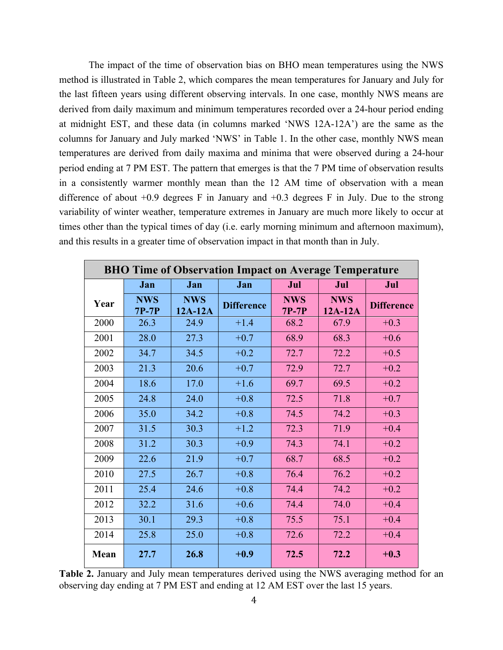The impact of the time of observation bias on BHO mean temperatures using the NWS method is illustrated in Table 2, which compares the mean temperatures for January and July for the last fifteen years using different observing intervals. In one case, monthly NWS means are derived from daily maximum and minimum temperatures recorded over a 24-hour period ending at midnight EST, and these data (in columns marked 'NWS 12A-12A') are the same as the columns for January and July marked 'NWS' in Table 1. In the other case, monthly NWS mean temperatures are derived from daily maxima and minima that were observed during a 24-hour period ending at 7 PM EST. The pattern that emerges is that the 7 PM time of observation results in a consistently warmer monthly mean than the 12 AM time of observation with a mean difference of about +0.9 degrees F in January and +0.3 degrees F in July. Due to the strong variability of winter weather, temperature extremes in January are much more likely to occur at times other than the typical times of day (i.e. early morning minimum and afternoon maximum), and this results in a greater time of observation impact in that month than in July.

| <b>BHO Time of Observation Impact on Average Temperature</b> |                       |                         |                   |                       |                       |                   |  |  |  |  |  |
|--------------------------------------------------------------|-----------------------|-------------------------|-------------------|-----------------------|-----------------------|-------------------|--|--|--|--|--|
|                                                              | Jan                   | Jan                     | Jan               | Jul                   | Jul                   | Jul               |  |  |  |  |  |
| Year                                                         | <b>NWS</b><br>$7P-7P$ | <b>NWS</b><br>$12A-12A$ | <b>Difference</b> | <b>NWS</b><br>$7P-7P$ | <b>NWS</b><br>12A-12A | <b>Difference</b> |  |  |  |  |  |
| 2000                                                         | 26.3                  | 24.9                    | $+1.4$            | 68.2                  | 67.9                  | $+0.3$            |  |  |  |  |  |
| 2001                                                         | 28.0                  | 27.3                    | $+0.7$            | 68.9                  | 68.3                  | $+0.6$            |  |  |  |  |  |
| 2002                                                         | 34.7                  | 34.5                    | $+0.2$            | 72.7                  | 72.2                  | $+0.5$            |  |  |  |  |  |
| 2003                                                         | 21.3                  | 20.6                    | $+0.7$            | 72.9                  | 72.7                  | $+0.2$            |  |  |  |  |  |
| 2004                                                         | 18.6                  | 17.0                    | $+1.6$            | 69.7                  | 69.5                  | $+0.2$            |  |  |  |  |  |
| 2005                                                         | 24.8                  | 24.0                    | $+0.8$            | 72.5                  | 71.8                  | $+0.7$            |  |  |  |  |  |
| 2006                                                         | 35.0                  | 34.2                    | $+0.8$            | 74.5                  | 74.2                  | $+0.3$            |  |  |  |  |  |
| 2007                                                         | 31.5                  | 30.3                    | $+1.2$            | 72.3                  | 71.9                  | $+0.4$            |  |  |  |  |  |
| 2008                                                         | 31.2                  | 30.3                    | $+0.9$            | 74.3                  | 74.1                  | $+0.2$            |  |  |  |  |  |
| 2009                                                         | 22.6                  | 21.9                    | $+0.7$            | 68.7                  | 68.5                  | $+0.2$            |  |  |  |  |  |
| 2010                                                         | 27.5                  | 26.7                    | $+0.8$            | 76.4                  | 76.2                  | $+0.2$            |  |  |  |  |  |
| 2011                                                         | 25.4                  | 24.6                    | $+0.8$            | 74.4                  | 74.2                  | $+0.2$            |  |  |  |  |  |
| 2012                                                         | 32.2                  | 31.6                    | $+0.6$            | 74.4                  | 74.0                  | $+0.4$            |  |  |  |  |  |
| 2013                                                         | 30.1                  | 29.3                    | $+0.8$            | 75.5                  | 75.1                  | $+0.4$            |  |  |  |  |  |
| 2014                                                         | 25.8                  | 25.0                    | $+0.8$            | 72.6                  | 72.2                  | $+0.4$            |  |  |  |  |  |
| Mean                                                         | 27.7                  | 26.8                    | $+0.9$            | 72.5                  | 72.2                  | $+0.3$            |  |  |  |  |  |

**Table 2.** January and July mean temperatures derived using the NWS averaging method for an observing day ending at 7 PM EST and ending at 12 AM EST over the last 15 years.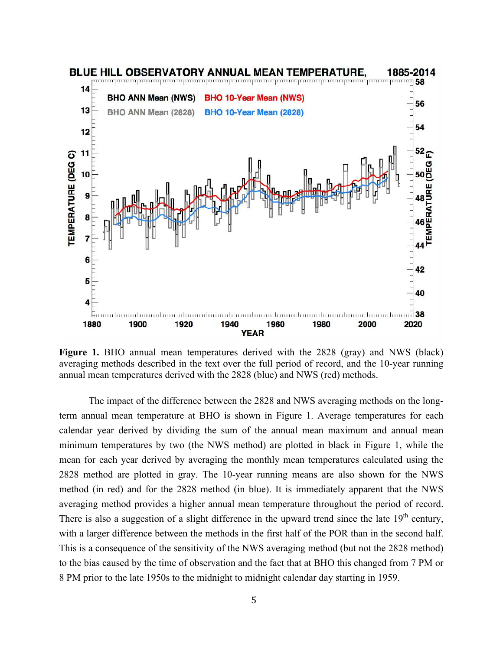

**Figure 1.** BHO annual mean temperatures derived with the 2828 (gray) and NWS (black) averaging methods described in the text over the full period of record, and the 10-year running annual mean temperatures derived with the 2828 (blue) and NWS (red) methods.

The impact of the difference between the 2828 and NWS averaging methods on the longterm annual mean temperature at BHO is shown in Figure 1. Average temperatures for each calendar year derived by dividing the sum of the annual mean maximum and annual mean minimum temperatures by two (the NWS method) are plotted in black in Figure 1, while the mean for each year derived by averaging the monthly mean temperatures calculated using the 2828 method are plotted in gray. The 10-year running means are also shown for the NWS method (in red) and for the 2828 method (in blue). It is immediately apparent that the NWS averaging method provides a higher annual mean temperature throughout the period of record. There is also a suggestion of a slight difference in the upward trend since the late  $19<sup>th</sup>$  century, with a larger difference between the methods in the first half of the POR than in the second half. This is a consequence of the sensitivity of the NWS averaging method (but not the 2828 method) to the bias caused by the time of observation and the fact that at BHO this changed from 7 PM or 8 PM prior to the late 1950s to the midnight to midnight calendar day starting in 1959.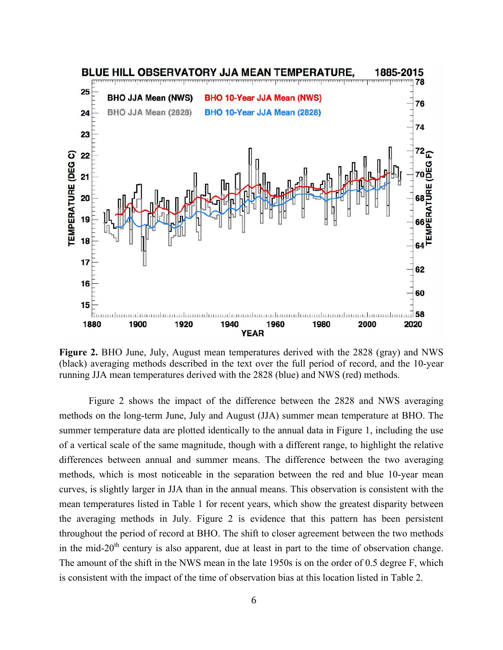

**Figure 2.** BHO June, July, August mean temperatures derived with the 2828 (gray) and NWS (black) averaging methods described in the text over the full period of record, and the 10-year running JJA mean temperatures derived with the 2828 (blue) and NWS (red) methods.

Figure 2 shows the impact of the difference between the 2828 and NWS averaging methods on the long-term June, July and August (JJA) summer mean temperature at BHO. The summer temperature data are plotted identically to the annual data in Figure 1, including the use of a vertical scale of the same magnitude, though with a different range, to highlight the relative differences between annual and summer means. The difference between the two averaging methods, which is most noticeable in the separation between the red and blue 10-year mean curves, is slightly larger in JJA than in the annual means. This observation is consistent with the mean temperatures listed in Table 1 for recent years, which show the greatest disparity between the averaging methods in July. Figure 2 is evidence that this pattern has been persistent throughout the period of record at BHO. The shift to closer agreement between the two methods in the mid-20<sup>th</sup> century is also apparent, due at least in part to the time of observation change. The amount of the shift in the NWS mean in the late 1950s is on the order of 0.5 degree F, which is consistent with the impact of the time of observation bias at this location listed in Table 2.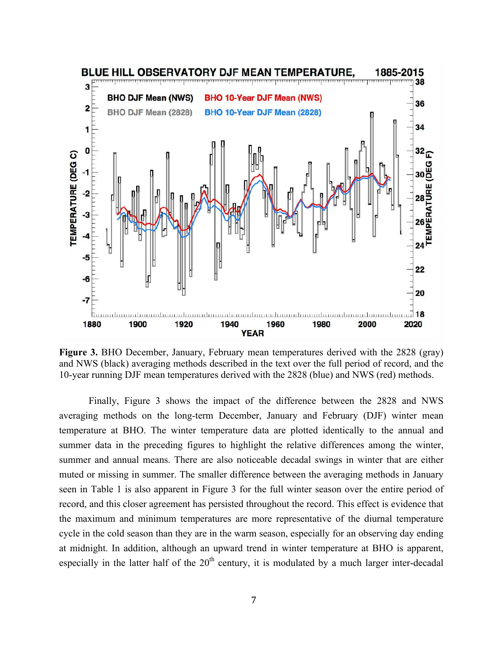

**Figure 3.** BHO December, January, February mean temperatures derived with the 2828 (gray) and NWS (black) averaging methods described in the text over the full period of record, and the 10-year running DJF mean temperatures derived with the 2828 (blue) and NWS (red) methods.

Finally, Figure 3 shows the impact of the difference between the 2828 and NWS averaging methods on the long-term December, January and February (DJF) winter mean temperature at BHO. The winter temperature data are plotted identically to the annual and summer data in the preceding figures to highlight the relative differences among the winter, summer and annual means. There are also noticeable decadal swings in winter that are either muted or missing in summer. The smaller difference between the averaging methods in January seen in Table 1 is also apparent in Figure 3 for the full winter season over the entire period of record, and this closer agreement has persisted throughout the record. This effect is evidence that the maximum and minimum temperatures are more representative of the diurnal temperature cycle in the cold season than they are in the warm season, especially for an observing day ending at midnight. In addition, although an upward trend in winter temperature at BHO is apparent, especially in the latter half of the  $20<sup>th</sup>$  century, it is modulated by a much larger inter-decadal